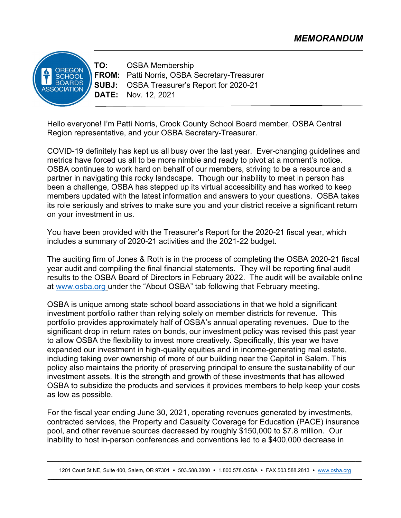ORFGON **SCHOOL BOARDS ASSOCIATION** 

TO: OSBA Membership FROM: Patti Norris, OSBA Secretary-Treasurer SUBJ: OSBA Treasurer's Report for 2020-21 DATE: Nov. 12, 2021

Hello everyone! I'm Patti Norris, Crook County School Board member, OSBA Central Region representative, and your OSBA Secretary-Treasurer.

COVID-19 definitely has kept us all busy over the last year. Ever-changing guidelines and metrics have forced us all to be more nimble and ready to pivot at a moment's notice. OSBA continues to work hard on behalf of our members, striving to be a resource and a partner in navigating this rocky landscape. Though our inability to meet in person has been a challenge, OSBA has stepped up its virtual accessibility and has worked to keep members updated with the latest information and answers to your questions. OSBA takes its role seriously and strives to make sure you and your district receive a significant return on your investment in us.

You have been provided with the Treasurer's Report for the 2020-21 fiscal year, which includes a summary of 2020-21 activities and the 2021-22 budget.

The auditing firm of Jones & Roth is in the process of completing the OSBA 2020-21 fiscal year audit and compiling the final financial statements. They will be reporting final audit results to the OSBA Board of Directors in February 2022. The audit will be available online at www.osba.org under the "About OSBA" tab following that February meeting.

OSBA is unique among state school board associations in that we hold a significant investment portfolio rather than relying solely on member districts for revenue. This portfolio provides approximately half of OSBA's annual operating revenues. Due to the significant drop in return rates on bonds, our investment policy was revised this past year to allow OSBA the flexibility to invest more creatively. Specifically, this year we have expanded our investment in high-quality equities and in income-generating real estate, including taking over ownership of more of our building near the Capitol in Salem. This policy also maintains the priority of preserving principal to ensure the sustainability of our investment assets. It is the strength and growth of these investments that has allowed OSBA to subsidize the products and services it provides members to help keep your costs as low as possible.

For the fiscal year ending June 30, 2021, operating revenues generated by investments, contracted services, the Property and Casualty Coverage for Education (PACE) insurance pool, and other revenue sources decreased by roughly \$150,000 to \$7.8 million. Our inability to host in-person conferences and conventions led to a \$400,000 decrease in